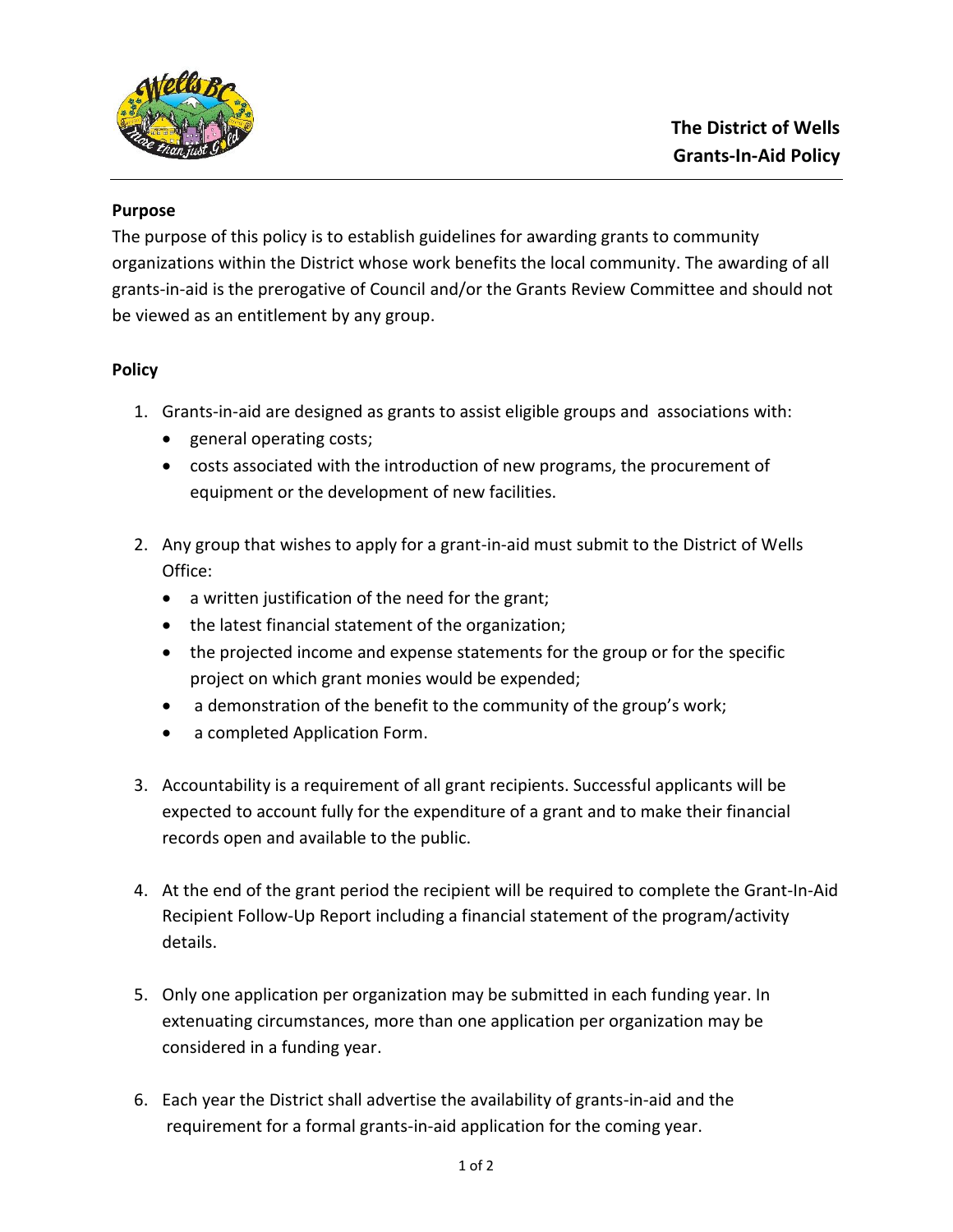

## **Purpose**

The purpose of this policy is to establish guidelines for awarding grants to community organizations within the District whose work benefits the local community. The awarding of all grants-in-aid is the prerogative of Council and/or the Grants Review Committee and should not be viewed as an entitlement by any group.

## **Policy**

- 1. Grants-in-aid are designed as grants to assist eligible groups and associations with:
	- general operating costs;
	- costs associated with the introduction of new programs, the procurement of equipment or the development of new facilities.
- 2. Any group that wishes to apply for a grant-in-aid must submit to the District of Wells Office:
	- a written justification of the need for the grant;
	- the latest financial statement of the organization;
	- the projected income and expense statements for the group or for the specific project on which grant monies would be expended;
	- a demonstration of the benefit to the community of the group's work;
	- a completed Application Form.
- 3. Accountability is a requirement of all grant recipients. Successful applicants will be expected to account fully for the expenditure of a grant and to make their financial records open and available to the public.
- 4. At the end of the grant period the recipient will be required to complete the Grant-In-Aid Recipient Follow-Up Report including a financial statement of the program/activity details.
- 5. Only one application per organization may be submitted in each funding year. In extenuating circumstances, more than one application per organization may be considered in a funding year.
- 6. Each year the District shall advertise the availability of grants-in-aid and the requirement for a formal grants-in-aid application for the coming year.